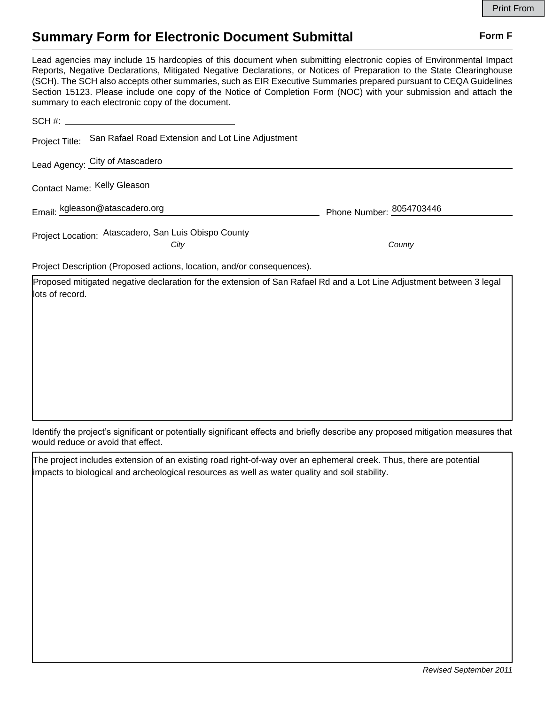## **Summary Form for Electronic Document Submittal Form F Form F**

Lead agencies may include 15 hardcopies of this document when submitting electronic copies of Environmental Impact Reports, Negative Declarations, Mitigated Negative Declarations, or Notices of Preparation to the State Clearinghouse (SCH). The SCH also accepts other summaries, such as EIR Executive Summaries prepared pursuant to CEQA Guidelines Section 15123. Please include one copy of the Notice of Completion Form (NOC) with your submission and attach the summary to each electronic copy of the document.

| Project Title: San Rafael Road Extension and Lot Line Adjustment       |                          |
|------------------------------------------------------------------------|--------------------------|
| Lead Agency: City of Atascadero                                        |                          |
| Contact Name: Kelly Gleason                                            |                          |
| Email: kgleason@atascadero.org                                         | Phone Number: 8054703446 |
| Project Location: Atascadero, San Luis Obispo County                   |                          |
| City                                                                   | County                   |
| Project Description (Proposed actions, location, and/or consequences). |                          |

Proposed mitigated negative declaration for the extension of San Rafael Rd and a Lot Line Adjustment between 3 legal lots of record.

Identify the project's significant or potentially significant effects and briefly describe any proposed mitigation measures that would reduce or avoid that effect.

The project includes extension of an existing road right-of-way over an ephemeral creek. Thus, there are potential impacts to biological and archeological resources as well as water quality and soil stability.